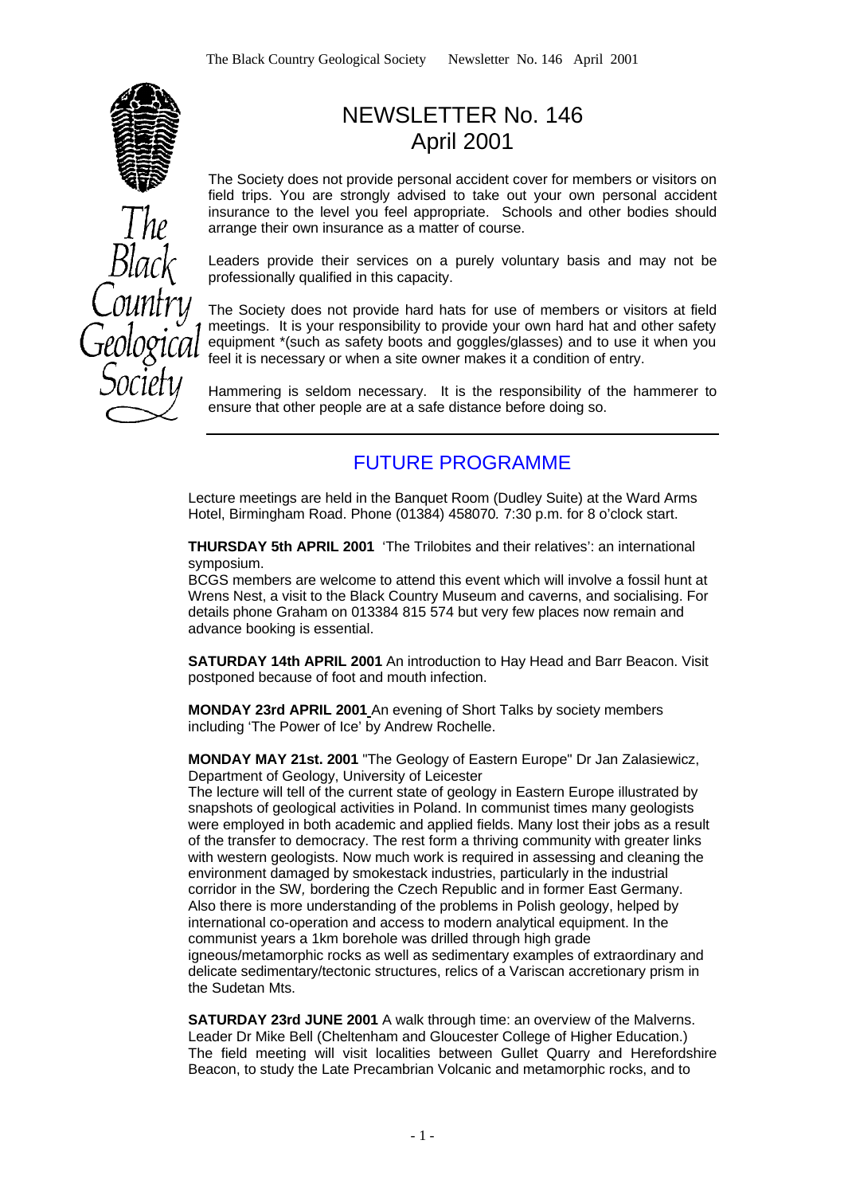

# NEWSLETTER No. 146 April 2001

The Society does not provide personal accident cover for members or visitors on field trips. You are strongly advised to take out your own personal accident insurance to the level you feel appropriate. Schools and other bodies should arrange their own insurance as a matter of course.

Leaders provide their services on a purely voluntary basis and may not be professionally qualified in this capacity.

The Society does not provide hard hats for use of members or visitors at field meetings. It is your responsibility to provide your own hard hat and other safety equipment \*(such as safety boots and goggles/glasses) and to use it when you feel it is necessary or when a site owner makes it a condition of entry.

Hammering is seldom necessary. It is the responsibility of the hammerer to ensure that other people are at a safe distance before doing so.

### FUTURE PROGRAMME

Lecture meetings are held in the Banquet Room (Dudley Suite) at the Ward Arms Hotel, Birmingham Road. Phone (01384) 458070*.* 7:30 p.m. for 8 o'clock start.

**THURSDAY 5th APRIL 2001** 'The Trilobites and their relatives': an international symposium.

BCGS members are welcome to attend this event which will involve a fossil hunt at Wrens Nest, a visit to the Black Country Museum and caverns, and socialising. For details phone Graham on 013384 815 574 but very few places now remain and advance booking is essential.

**SATURDAY 14th APRIL 2001** An introduction to Hay Head and Barr Beacon. Visit postponed because of foot and mouth infection.

**MONDAY 23rd APRIL 2001** An evening of Short Talks by society members including 'The Power of Ice' by Andrew Rochelle.

**MONDAY MAY 21st. 2001** "The Geology of Eastern Europe" Dr Jan Zalasiewicz, Department of Geology, University of Leicester

The lecture will tell of the current state of geology in Eastern Europe illustrated by snapshots of geological activities in Poland. In communist times many geologists were employed in both academic and applied fields. Many lost their jobs as a result of the transfer to democracy. The rest form a thriving community with greater links with western geologists. Now much work is required in assessing and cleaning the environment damaged by smokestack industries, particularly in the industrial corridor in the SW*,* bordering the Czech Republic and in former East Germany. Also there is more understanding of the problems in Polish geology, helped by international co-operation and access to modern analytical equipment. In the communist years a 1km borehole was drilled through high grade igneous/metamorphic rocks as well as sedimentary examples of extraordinary and delicate sedimentary/tectonic structures, relics of a Variscan accretionary prism in the Sudetan Mts.

**SATURDAY 23rd JUNE 2001** A walk through time: an overview of the Malverns. Leader Dr Mike Bell (Cheltenham and Gloucester College of Higher Education.) The field meeting will visit localities between Gullet Quarry and Herefordshire Beacon, to study the Late Precambrian Volcanic and metamorphic rocks, and to

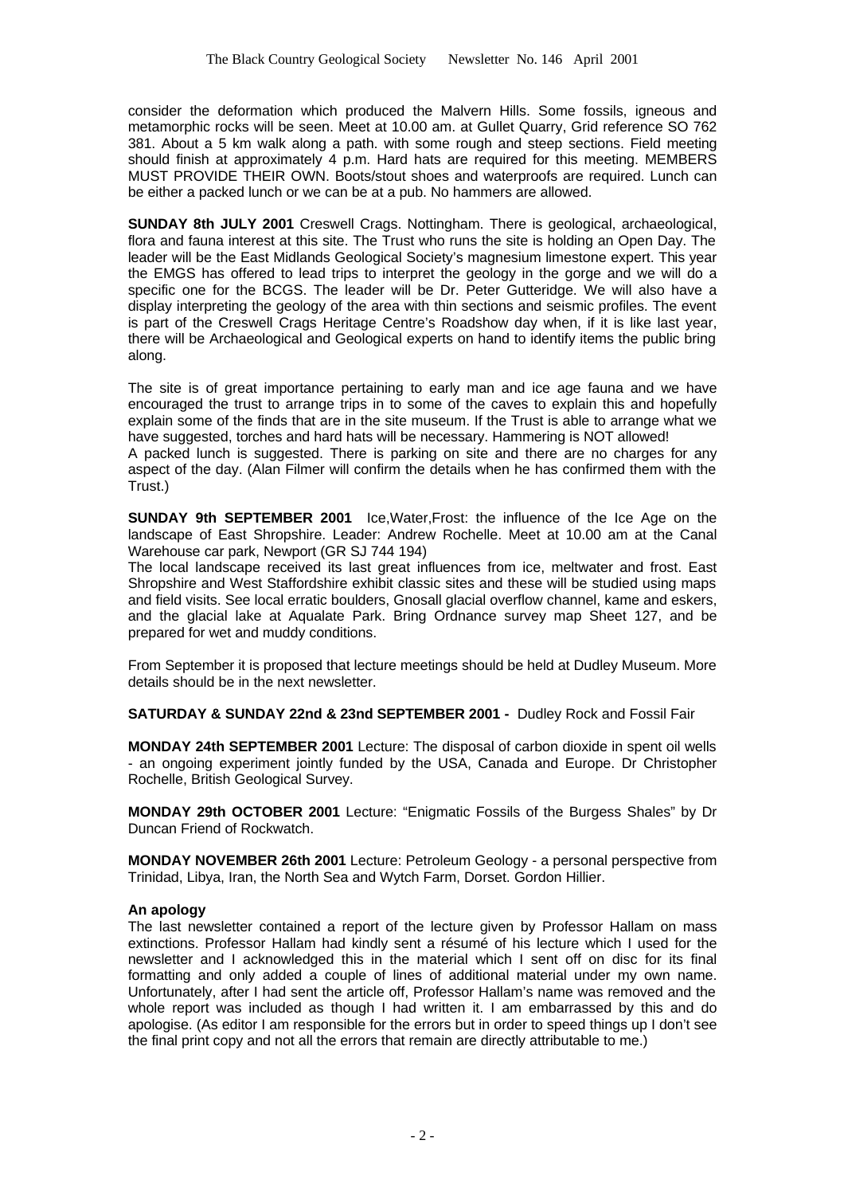consider the deformation which produced the Malvern Hills. Some fossils, igneous and metamorphic rocks will be seen. Meet at 10.00 am. at Gullet Quarry, Grid reference SO 762 381. About a 5 km walk along a path. with some rough and steep sections. Field meeting should finish at approximately 4 p.m. Hard hats are required for this meeting. MEMBERS MUST PROVIDE THEIR OWN. Boots/stout shoes and waterproofs are required. Lunch can be either a packed lunch or we can be at a pub. No hammers are allowed.

**SUNDAY 8th JULY 2001** Creswell Crags. Nottingham. There is geological, archaeological, flora and fauna interest at this site. The Trust who runs the site is holding an Open Day. The leader will be the East Midlands Geological Society's magnesium limestone expert. This year the EMGS has offered to lead trips to interpret the geology in the gorge and we will do a specific one for the BCGS. The leader will be Dr. Peter Gutteridge. We will also have a display interpreting the geology of the area with thin sections and seismic profiles. The event is part of the Creswell Crags Heritage Centre's Roadshow day when, if it is like last year, there will be Archaeological and Geological experts on hand to identify items the public bring along.

The site is of great importance pertaining to early man and ice age fauna and we have encouraged the trust to arrange trips in to some of the caves to explain this and hopefully explain some of the finds that are in the site museum. If the Trust is able to arrange what we have suggested, torches and hard hats will be necessary. Hammering is NOT allowed!

A packed lunch is suggested. There is parking on site and there are no charges for any aspect of the day. (Alan Filmer will confirm the details when he has confirmed them with the Trust.)

**SUNDAY 9th SEPTEMBER 2001** Ice,Water,Frost: the influence of the Ice Age on the landscape of East Shropshire. Leader: Andrew Rochelle. Meet at 10.00 am at the Canal Warehouse car park, Newport (GR SJ 744 194)

The local landscape received its last great influences from ice, meltwater and frost. East Shropshire and West Staffordshire exhibit classic sites and these will be studied using maps and field visits. See local erratic boulders, Gnosall glacial overflow channel, kame and eskers, and the glacial lake at Aqualate Park. Bring Ordnance survey map Sheet 127, and be prepared for wet and muddy conditions.

From September it is proposed that lecture meetings should be held at Dudley Museum. More details should be in the next newsletter.

**SATURDAY & SUNDAY 22nd & 23nd SEPTEMBER 2001 -** Dudley Rock and Fossil Fair

**MONDAY 24th SEPTEMBER 2001** Lecture: The disposal of carbon dioxide in spent oil wells - an ongoing experiment jointly funded by the USA, Canada and Europe. Dr Christopher Rochelle, British Geological Survey.

**MONDAY 29th OCTOBER 2001** Lecture: "Enigmatic Fossils of the Burgess Shales" by Dr Duncan Friend of Rockwatch.

**MONDAY NOVEMBER 26th 2001** Lecture: Petroleum Geology - a personal perspective from Trinidad, Libya, Iran, the North Sea and Wytch Farm, Dorset. Gordon Hillier.

#### **An apology**

The last newsletter contained a report of the lecture given by Professor Hallam on mass extinctions. Professor Hallam had kindly sent a résumé of his lecture which I used for the newsletter and I acknowledged this in the material which I sent off on disc for its final formatting and only added a couple of lines of additional material under my own name. Unfortunately, after I had sent the article off, Professor Hallam's name was removed and the whole report was included as though I had written it. I am embarrassed by this and do apologise. (As editor I am responsible for the errors but in order to speed things up I don't see the final print copy and not all the errors that remain are directly attributable to me.)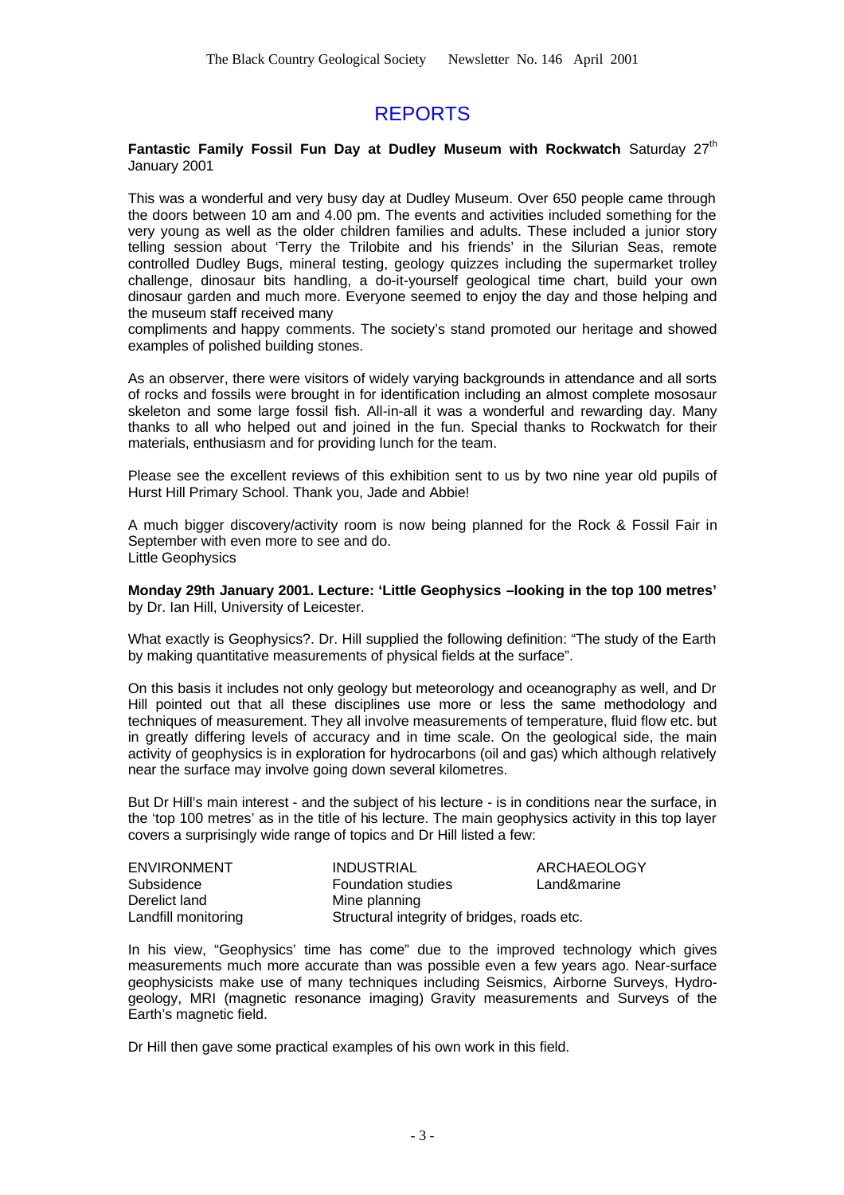## REPORTS

#### **Fantastic Family Fossil Fun Day at Dudley Museum with Rockwatch** Saturday 27<sup>th</sup> January 2001

This was a wonderful and very busy day at Dudley Museum. Over 650 people came through the doors between 10 am and 4.00 pm. The events and activities included something for the very young as well as the older children families and adults. These included a junior story telling session about 'Terry the Trilobite and his friends' in the Silurian Seas, remote controlled Dudley Bugs, mineral testing, geology quizzes including the supermarket trolley challenge, dinosaur bits handling, a do-it-yourself geological time chart, build your own dinosaur garden and much more. Everyone seemed to enjoy the day and those helping and the museum staff received many

compliments and happy comments. The society's stand promoted our heritage and showed examples of polished building stones.

As an observer, there were visitors of widely varying backgrounds in attendance and all sorts of rocks and fossils were brought in for identification including an almost complete mososaur skeleton and some large fossil fish. All-in-all it was a wonderful and rewarding day. Many thanks to all who helped out and joined in the fun. Special thanks to Rockwatch for their materials, enthusiasm and for providing lunch for the team.

Please see the excellent reviews of this exhibition sent to us by two nine year old pupils of Hurst Hill Primary School. Thank you, Jade and Abbie!

A much bigger discovery/activity room is now being planned for the Rock & Fossil Fair in September with even more to see and do. Little Geophysics

**Monday 29th January 2001. Lecture: 'Little Geophysics –looking in the top 100 metres'** by Dr. Ian Hill, University of Leicester.

What exactly is Geophysics?. Dr. Hill supplied the following definition: "The study of the Earth by making quantitative measurements of physical fields at the surface".

On this basis it includes not only geology but meteorology and oceanography as well, and Dr Hill pointed out that all these disciplines use more or less the same methodology and techniques of measurement. They all involve measurements of temperature, fluid flow etc. but in greatly differing levels of accuracy and in time scale. On the geological side, the main activity of geophysics is in exploration for hydrocarbons (oil and gas) which although relatively near the surface may involve going down several kilometres.

But Dr Hill's main interest - and the subject of his lecture - is in conditions near the surface, in the 'top 100 metres' as in the title of his lecture. The main geophysics activity in this top layer covers a surprisingly wide range of topics and Dr Hill listed a few:

| <b>ENVIRONMENT</b>  | <b>INDUSTRIAL</b>                           | ARCHAEOLOGY |
|---------------------|---------------------------------------------|-------------|
| Subsidence          | <b>Foundation studies</b>                   | Land&marine |
| Derelict land       | Mine planning                               |             |
| Landfill monitoring | Structural integrity of bridges, roads etc. |             |

In his view, "Geophysics' time has come" due to the improved technology which gives measurements much more accurate than was possible even a few years ago. Near-surface geophysicists make use of many techniques including Seismics, Airborne Surveys, Hydrogeology, MRI (magnetic resonance imaging) Gravity measurements and Surveys of the Earth's magnetic field.

Dr Hill then gave some practical examples of his own work in this field.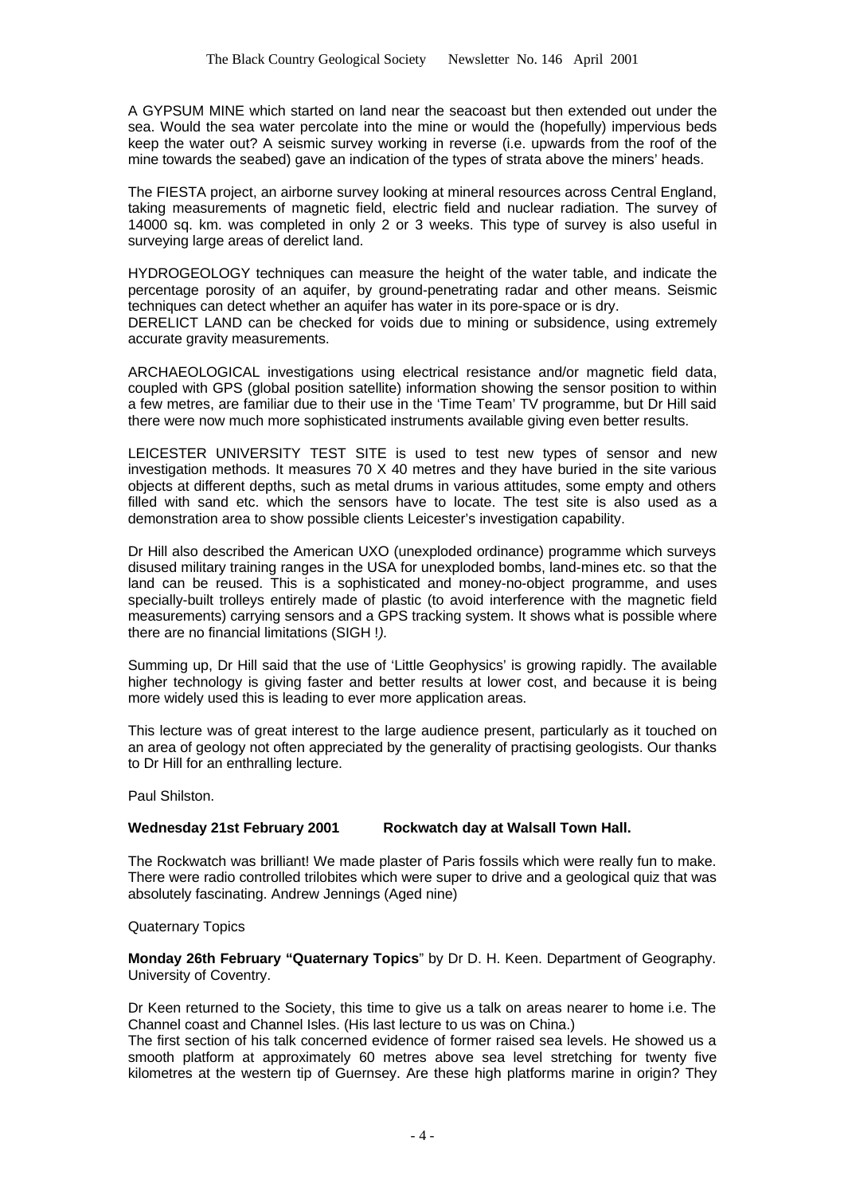A GYPSUM MINE which started on land near the seacoast but then extended out under the sea. Would the sea water percolate into the mine or would the (hopefully) impervious beds keep the water out? A seismic survey working in reverse (i.e. upwards from the roof of the mine towards the seabed) gave an indication of the types of strata above the miners' heads.

The FIESTA project, an airborne survey looking at mineral resources across Central England, taking measurements of magnetic field, electric field and nuclear radiation. The survey of 14000 sq. km. was completed in only 2 or 3 weeks. This type of survey is also useful in surveying large areas of derelict land.

HYDROGEOLOGY techniques can measure the height of the water table, and indicate the percentage porosity of an aquifer, by ground-penetrating radar and other means. Seismic techniques can detect whether an aquifer has water in its pore-space or is dry. DERELICT LAND can be checked for voids due to mining or subsidence, using extremely accurate gravity measurements.

ARCHAEOLOGICAL investigations using electrical resistance and/or magnetic field data, coupled with GPS (global position satellite) information showing the sensor position to within a few metres, are familiar due to their use in the 'Time Team' TV programme, but Dr Hill said there were now much more sophisticated instruments available giving even better results.

LEICESTER UNIVERSITY TEST SITE is used to test new types of sensor and new investigation methods. It measures 70 X 40 metres and they have buried in the site various objects at different depths, such as metal drums in various attitudes, some empty and others filled with sand etc. which the sensors have to locate. The test site is also used as a demonstration area to show possible clients Leicester's investigation capability.

Dr Hill also described the American UXO (unexploded ordinance) programme which surveys disused military training ranges in the USA for unexploded bombs, land-mines etc. so that the land can be reused. This is a sophisticated and money-no-object programme, and uses specially-built trolleys entirely made of plastic (to avoid interference with the magnetic field measurements) carrying sensors and a GPS tracking system. It shows what is possible where there are no financial limitations (SIGH !*).*

Summing up, Dr Hill said that the use of 'Little Geophysics' is growing rapidly. The available higher technology is giving faster and better results at lower cost, and because it is being more widely used this is leading to ever more application areas.

This lecture was of great interest to the large audience present, particularly as it touched on an area of geology not often appreciated by the generality of practising geologists. Our thanks to Dr Hill for an enthralling lecture.

Paul Shilston.

#### **Wednesday 21st February 2001 Rockwatch day at Walsall Town Hall.**

The Rockwatch was brilliant! We made plaster of Paris fossils which were really fun to make. There were radio controlled trilobites which were super to drive and a geological quiz that was absolutely fascinating. Andrew Jennings (Aged nine)

Quaternary Topics

**Monday 26th February "Quaternary Topics**" by Dr D. H. Keen. Department of Geography. University of Coventry.

Dr Keen returned to the Society, this time to give us a talk on areas nearer to home i.e. The Channel coast and Channel Isles. (His last lecture to us was on China.)

The first section of his talk concerned evidence of former raised sea levels. He showed us a smooth platform at approximately 60 metres above sea level stretching for twenty five kilometres at the western tip of Guernsey. Are these high platforms marine in origin? They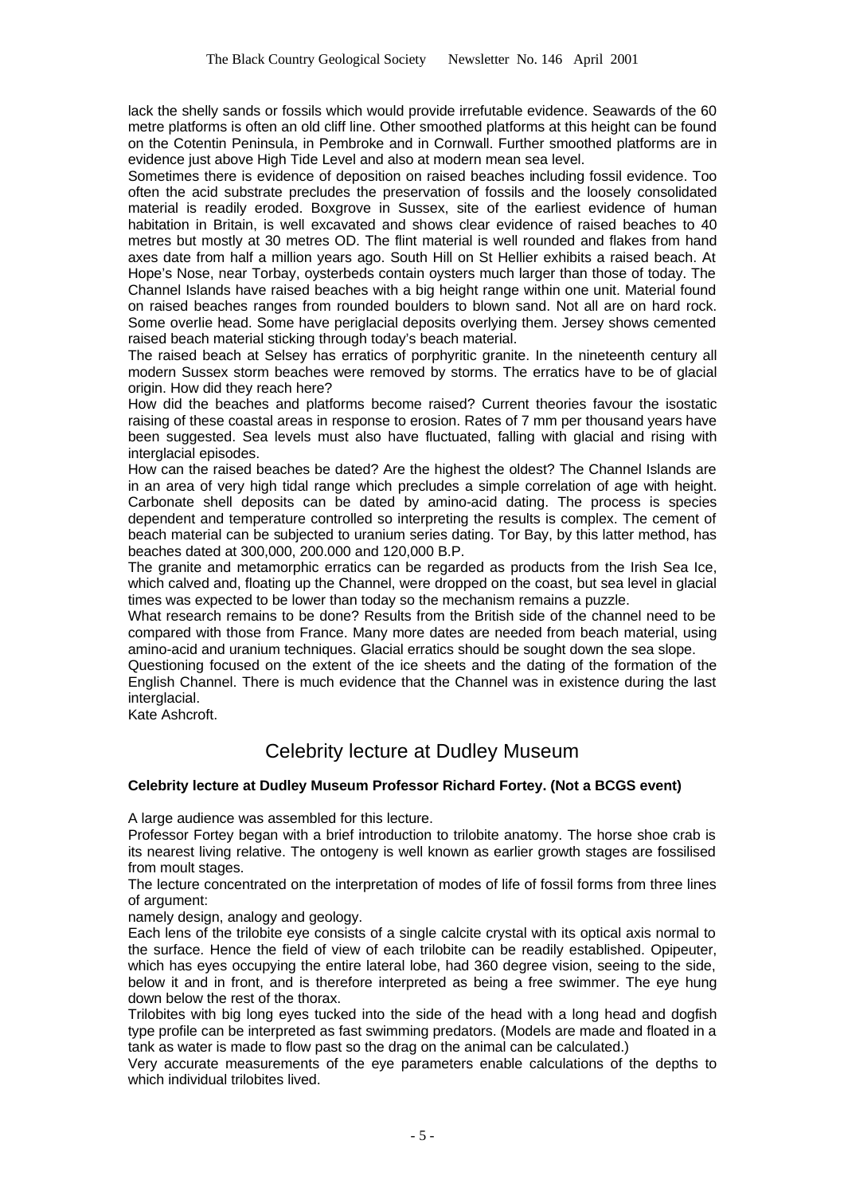lack the shelly sands or fossils which would provide irrefutable evidence. Seawards of the 60 metre platforms is often an old cliff line. Other smoothed platforms at this height can be found on the Cotentin Peninsula, in Pembroke and in Cornwall. Further smoothed platforms are in evidence just above High Tide Level and also at modern mean sea level.

Sometimes there is evidence of deposition on raised beaches including fossil evidence. Too often the acid substrate precludes the preservation of fossils and the loosely consolidated material is readily eroded. Boxgrove in Sussex, site of the earliest evidence of human habitation in Britain, is well excavated and shows clear evidence of raised beaches to 40 metres but mostly at 30 metres OD. The flint material is well rounded and flakes from hand axes date from half a million years ago. South Hill on St Hellier exhibits a raised beach. At Hope's Nose, near Torbay, oysterbeds contain oysters much larger than those of today. The Channel Islands have raised beaches with a big height range within one unit. Material found on raised beaches ranges from rounded boulders to blown sand. Not all are on hard rock. Some overlie head. Some have periglacial deposits overlying them. Jersey shows cemented raised beach material sticking through today's beach material.

The raised beach at Selsey has erratics of porphyritic granite. In the nineteenth century all modern Sussex storm beaches were removed by storms. The erratics have to be of glacial origin. How did they reach here?

How did the beaches and platforms become raised? Current theories favour the isostatic raising of these coastal areas in response to erosion. Rates of 7 mm per thousand years have been suggested. Sea levels must also have fluctuated, falling with glacial and rising with interglacial episodes.

How can the raised beaches be dated? Are the highest the oldest? The Channel Islands are in an area of very high tidal range which precludes a simple correlation of age with height. Carbonate shell deposits can be dated by amino-acid dating. The process is species dependent and temperature controlled so interpreting the results is complex. The cement of beach material can be subjected to uranium series dating. Tor Bay, by this latter method, has beaches dated at 300,000, 200.000 and 120,000 B.P.

The granite and metamorphic erratics can be regarded as products from the Irish Sea Ice, which calved and, floating up the Channel, were dropped on the coast, but sea level in glacial times was expected to be lower than today so the mechanism remains a puzzle.

What research remains to be done? Results from the British side of the channel need to be compared with those from France. Many more dates are needed from beach material, using amino-acid and uranium techniques. Glacial erratics should be sought down the sea slope.

Questioning focused on the extent of the ice sheets and the dating of the formation of the English Channel. There is much evidence that the Channel was in existence during the last interglacial.

Kate Ashcroft.

#### Celebrity lecture at Dudley Museum

#### **Celebrity lecture at Dudley Museum Professor Richard Fortey. (Not a BCGS event)**

A large audience was assembled for this lecture.

Professor Fortey began with a brief introduction to trilobite anatomy. The horse shoe crab is its nearest living relative. The ontogeny is well known as earlier growth stages are fossilised from moult stages.

The lecture concentrated on the interpretation of modes of life of fossil forms from three lines of argument:

namely design, analogy and geology.

Each lens of the trilobite eye consists of a single calcite crystal with its optical axis normal to the surface. Hence the field of view of each trilobite can be readily established. Opipeuter, which has eyes occupying the entire lateral lobe, had 360 degree vision, seeing to the side, below it and in front, and is therefore interpreted as being a free swimmer. The eye hung down below the rest of the thorax.

Trilobites with big long eyes tucked into the side of the head with a long head and dogfish type profile can be interpreted as fast swimming predators. (Models are made and floated in a tank as water is made to flow past so the drag on the animal can be calculated.)

Very accurate measurements of the eye parameters enable calculations of the depths to which individual trilobites lived.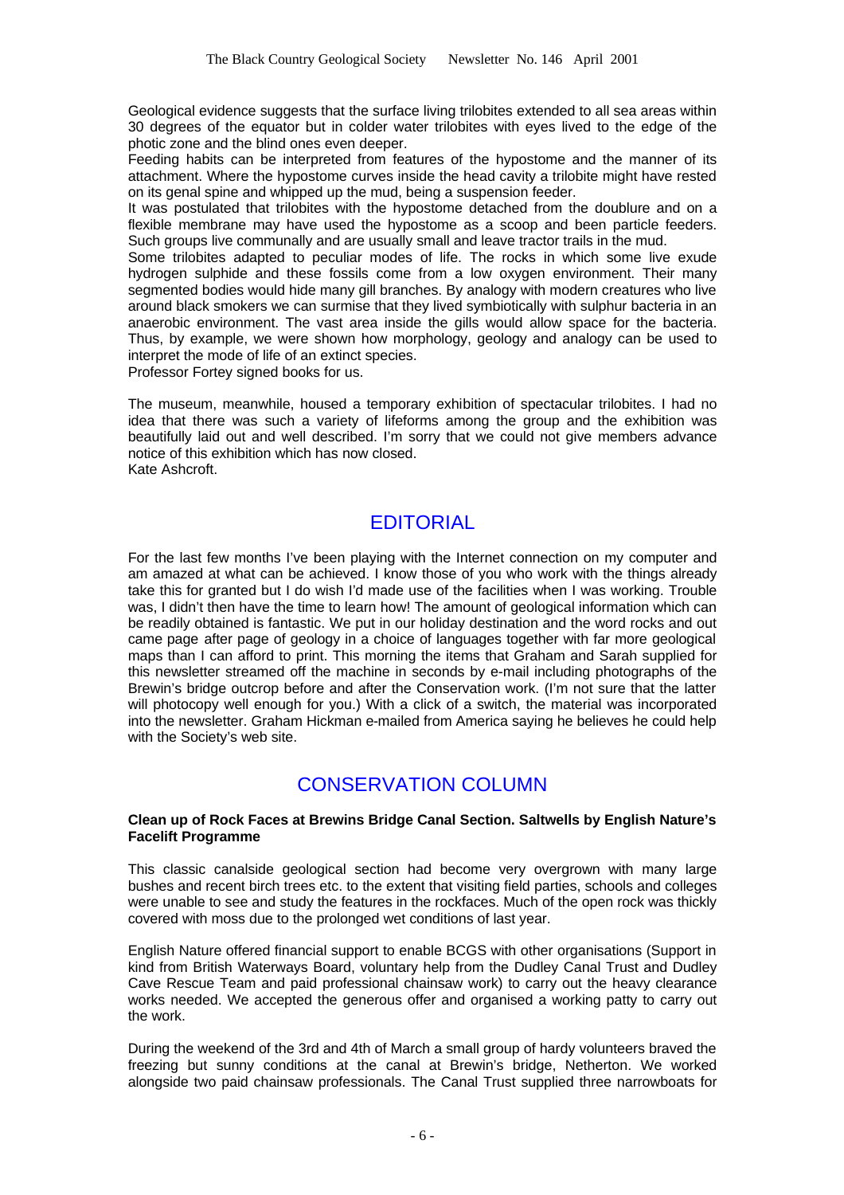Geological evidence suggests that the surface living trilobites extended to all sea areas within 30 degrees of the equator but in colder water trilobites with eyes lived to the edge of the photic zone and the blind ones even deeper.

Feeding habits can be interpreted from features of the hypostome and the manner of its attachment. Where the hypostome curves inside the head cavity a trilobite might have rested on its genal spine and whipped up the mud, being a suspension feeder.

It was postulated that trilobites with the hypostome detached from the doublure and on a flexible membrane may have used the hypostome as a scoop and been particle feeders. Such groups live communally and are usually small and leave tractor trails in the mud.

Some trilobites adapted to peculiar modes of life. The rocks in which some live exude hydrogen sulphide and these fossils come from a low oxygen environment. Their many segmented bodies would hide many gill branches. By analogy with modern creatures who live around black smokers we can surmise that they lived symbiotically with sulphur bacteria in an anaerobic environment. The vast area inside the gills would allow space for the bacteria. Thus, by example, we were shown how morphology, geology and analogy can be used to interpret the mode of life of an extinct species.

Professor Fortey signed books for us.

The museum, meanwhile, housed a temporary exhibition of spectacular trilobites. I had no idea that there was such a variety of lifeforms among the group and the exhibition was beautifully laid out and well described. I'm sorry that we could not give members advance notice of this exhibition which has now closed. Kate Ashcroft.

### EDITORIAL

For the last few months I've been playing with the Internet connection on my computer and am amazed at what can be achieved. I know those of you who work with the things already take this for granted but I do wish I'd made use of the facilities when I was working. Trouble was, I didn't then have the time to learn how! The amount of geological information which can be readily obtained is fantastic. We put in our holiday destination and the word rocks and out came page after page of geology in a choice of languages together with far more geological maps than I can afford to print. This morning the items that Graham and Sarah supplied for this newsletter streamed off the machine in seconds by e-mail including photographs of the Brewin's bridge outcrop before and after the Conservation work. (I'm not sure that the latter will photocopy well enough for you.) With a click of a switch, the material was incorporated into the newsletter. Graham Hickman e-mailed from America saying he believes he could help with the Society's web site.

## CONSERVATION COLUMN

#### **Clean up of Rock Faces at Brewins Bridge Canal Section. Saltwells by English Nature's Facelift Programme**

This classic canalside geological section had become very overgrown with many large bushes and recent birch trees etc. to the extent that visiting field parties, schools and colleges were unable to see and study the features in the rockfaces. Much of the open rock was thickly covered with moss due to the prolonged wet conditions of last year.

English Nature offered financial support to enable BCGS with other organisations (Support in kind from British Waterways Board, voluntary help from the Dudley Canal Trust and Dudley Cave Rescue Team and paid professional chainsaw work) to carry out the heavy clearance works needed. We accepted the generous offer and organised a working patty to carry out the work.

During the weekend of the 3rd and 4th of March a small group of hardy volunteers braved the freezing but sunny conditions at the canal at Brewin's bridge, Netherton. We worked alongside two paid chainsaw professionals. The Canal Trust supplied three narrowboats for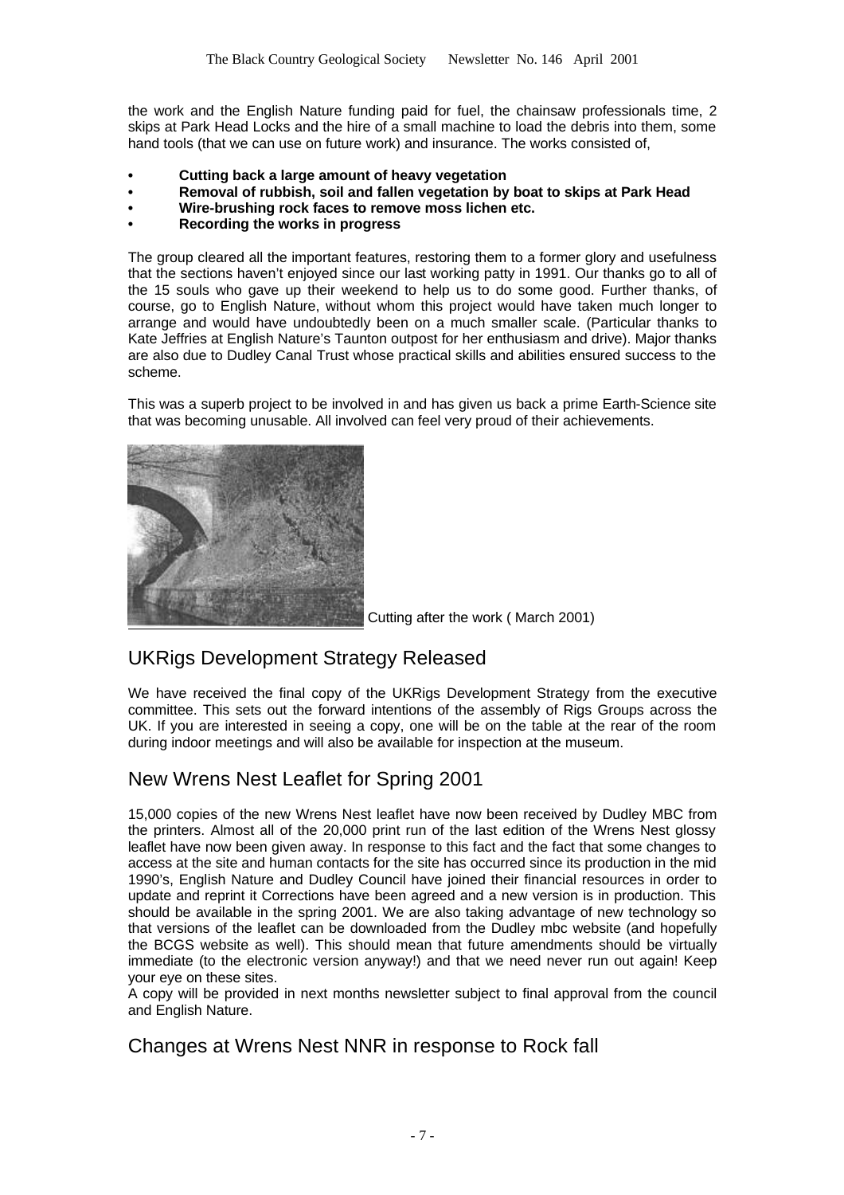the work and the English Nature funding paid for fuel, the chainsaw professionals time, 2 skips at Park Head Locks and the hire of a small machine to load the debris into them, some hand tools (that we can use on future work) and insurance. The works consisted of,

- **• Cutting back a large amount of heavy vegetation**
- **• Removal of rubbish, soil and fallen vegetation by boat to skips at Park Head**
- **• Wire-brushing rock faces to remove moss lichen etc.**
- **• Recording the works in progress**

The group cleared all the important features, restoring them to a former glory and usefulness that the sections haven't enjoyed since our last working patty in 1991. Our thanks go to all of the 15 souls who gave up their weekend to help us to do some good. Further thanks, of course, go to English Nature, without whom this project would have taken much longer to arrange and would have undoubtedly been on a much smaller scale. (Particular thanks to Kate Jeffries at English Nature's Taunton outpost for her enthusiasm and drive). Major thanks are also due to Dudley Canal Trust whose practical skills and abilities ensured success to the scheme.

This was a superb project to be involved in and has given us back a prime Earth-Science site that was becoming unusable. All involved can feel very proud of their achievements.



Cutting after the work ( March 2001)

### UKRigs Development Strategy Released

We have received the final copy of the UKRigs Development Strategy from the executive committee. This sets out the forward intentions of the assembly of Rigs Groups across the UK. If you are interested in seeing a copy, one will be on the table at the rear of the room during indoor meetings and will also be available for inspection at the museum.

## New Wrens Nest Leaflet for Spring 2001

15,000 copies of the new Wrens Nest leaflet have now been received by Dudley MBC from the printers. Almost all of the 20,000 print run of the last edition of the Wrens Nest glossy leaflet have now been given away. In response to this fact and the fact that some changes to access at the site and human contacts for the site has occurred since its production in the mid 1990's, English Nature and Dudley Council have joined their financial resources in order to update and reprint it Corrections have been agreed and a new version is in production. This should be available in the spring 2001. We are also taking advantage of new technology so that versions of the leaflet can be downloaded from the Dudley mbc website (and hopefully the BCGS website as well). This should mean that future amendments should be virtually immediate (to the electronic version anyway!) and that we need never run out again! Keep your eye on these sites.

A copy will be provided in next months newsletter subject to final approval from the council and English Nature.

#### Changes at Wrens Nest NNR in response to Rock fall